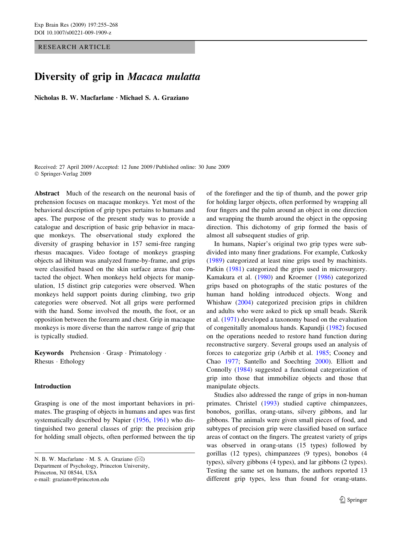RESEARCH ARTICLE

# Diversity of grip in Macaca mulatta

Nicholas B. W. Macfarlane  $\cdot$  Michael S. A. Graziano

Received: 27 April 2009 / Accepted: 12 June 2009 / Published online: 30 June 2009 Springer-Verlag 2009

Abstract Much of the research on the neuronal basis of prehension focuses on macaque monkeys. Yet most of the behavioral description of grip types pertains to humans and apes. The purpose of the present study was to provide a catalogue and description of basic grip behavior in macaque monkeys. The observational study explored the diversity of grasping behavior in 157 semi-free ranging rhesus macaques. Video footage of monkeys grasping objects ad libitum was analyzed frame-by-frame, and grips were classified based on the skin surface areas that contacted the object. When monkeys held objects for manipulation, 15 distinct grip categories were observed. When monkeys held support points during climbing, two grip categories were observed. Not all grips were performed with the hand. Some involved the mouth, the foot, or an opposition between the forearm and chest. Grip in macaque monkeys is more diverse than the narrow range of grip that is typically studied.

Keywords Prehension · Grasp · Primatology ·  $R$ hesus  $\cdot$  Ethology

# Introduction

Grasping is one of the most important behaviors in primates. The grasping of objects in humans and apes was first systematically described by Napier [\(1956,](#page-13-0) [1961\)](#page-13-0) who distinguished two general classes of grip: the precision grip for holding small objects, often performed between the tip

N. B. W. Macfarlane  $\cdot$  M. S. A. Graziano ( $\boxtimes$ ) Department of Psychology, Princeton University, Princeton, NJ 08544, USA e-mail: graziano@princeton.edu

of the forefinger and the tip of thumb, and the power grip for holding larger objects, often performed by wrapping all four fingers and the palm around an object in one direction and wrapping the thumb around the object in the opposing direction. This dichotomy of grip formed the basis of almost all subsequent studies of grip.

In humans, Napier's original two grip types were subdivided into many finer gradations. For example, Cutkosky [\(1989](#page-13-0)) categorized at least nine grips used by machinists. Patkin ([1981\)](#page-13-0) categorized the grips used in microsurgery. Kamakura et al. [\(1980\)](#page-13-0) and Kroemer [\(1986](#page-13-0)) categorized grips based on photographs of the static postures of the human hand holding introduced objects. Wong and Whishaw [\(2004](#page-13-0)) categorized precision grips in children and adults who were asked to pick up small beads. Skerik et al. [\(1971](#page-13-0)) developed a taxonomy based on the evaluation of congenitally anomalous hands. Kapandji [\(1982](#page-13-0)) focused on the operations needed to restore hand function during reconstructive surgery. Several groups used an analysis of forces to categorize grip (Arbib et al. [1985;](#page-13-0) Cooney and Chao [1977](#page-13-0); Santello and Soechting [2000\)](#page-13-0). Elliott and Connolly ([1984\)](#page-13-0) suggested a functional categorization of grip into those that immobilize objects and those that manipulate objects.

Studies also addressed the range of grips in non-human primates. Christel [\(1993](#page-13-0)) studied captive chimpanzees, bonobos, gorillas, orang-utans, silvery gibbons, and lar gibbons. The animals were given small pieces of food, and subtypes of precision grip were classified based on surface areas of contact on the fingers. The greatest variety of grips was observed in orang-utans (15 types) followed by gorillas (12 types), chimpanzees (9 types), bonobos (4 types), silvery gibbons (4 types), and lar gibbons (2 types). Testing the same set on humans, the authors reported 13 different grip types, less than found for orang-utans.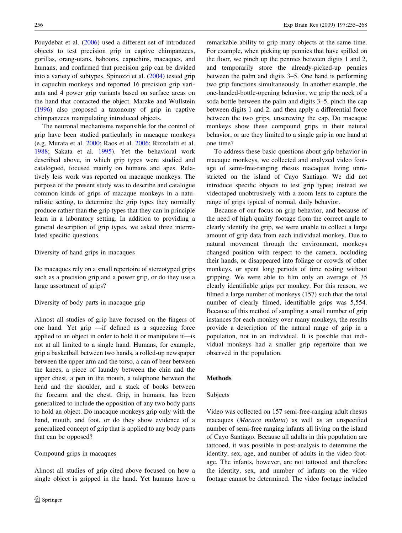Pouydebat et al. [\(2006](#page-13-0)) used a different set of introduced objects to test precision grip in captive chimpanzees, gorillas, orang-utans, baboons, capuchins, macaques, and humans, and confirmed that precision grip can be divided into a variety of subtypes. Spinozzi et al. [\(2004](#page-13-0)) tested grip in capuchin monkeys and reported 16 precision grip variants and 4 power grip variants based on surface areas on the hand that contacted the object. Marzke and Wullstein [\(1996](#page-13-0)) also proposed a taxonomy of grip in captive chimpanzees manipulating introduced objects.

The neuronal mechanisms responsible for the control of grip have been studied particularly in macaque monkeys (e.g. Murata et al. [2000;](#page-13-0) Raos et al. [2006](#page-13-0); Rizzolatti et al. [1988;](#page-13-0) Sakata et al. [1995\)](#page-13-0). Yet the behavioral work described above, in which grip types were studied and catalogued, focused mainly on humans and apes. Relatively less work was reported on macaque monkeys. The purpose of the present study was to describe and catalogue common kinds of grips of macaque monkeys in a naturalistic setting, to determine the grip types they normally produce rather than the grip types that they can in principle learn in a laboratory setting. In addition to providing a general description of grip types, we asked three interrelated specific questions.

#### Diversity of hand grips in macaques

Do macaques rely on a small repertoire of stereotyped grips such as a precision grip and a power grip, or do they use a large assortment of grips?

#### Diversity of body parts in macaque grip

Almost all studies of grip have focused on the fingers of one hand. Yet grip —if defined as a squeezing force applied to an object in order to hold it or manipulate it—is not at all limited to a single hand. Humans, for example, grip a basketball between two hands, a rolled-up newspaper between the upper arm and the torso, a can of beer between the knees, a piece of laundry between the chin and the upper chest, a pen in the mouth, a telephone between the head and the shoulder, and a stack of books between the forearm and the chest. Grip, in humans, has been generalized to include the opposition of any two body parts to hold an object. Do macaque monkeys grip only with the hand, mouth, and foot, or do they show evidence of a generalized concept of grip that is applied to any body parts that can be opposed?

#### Compound grips in macaques

Almost all studies of grip cited above focused on how a single object is gripped in the hand. Yet humans have a remarkable ability to grip many objects at the same time. For example, when picking up pennies that have spilled on the floor, we pinch up the pennies between digits 1 and 2, and temporarily store the already-picked-up pennies between the palm and digits 3–5. One hand is performing two grip functions simultaneously. In another example, the one-handed-bottle-opening behavior, we grip the neck of a soda bottle between the palm and digits 3–5, pinch the cap between digits 1 and 2, and then apply a differential force between the two grips, unscrewing the cap. Do macaque monkeys show these compound grips in their natural behavior, or are they limited to a single grip in one hand at one time?

To address these basic questions about grip behavior in macaque monkeys, we collected and analyzed video footage of semi-free-ranging rhesus macaques living unrestricted on the island of Cayo Santiago. We did not introduce specific objects to test grip types; instead we videotaped unobtrusively with a zoom lens to capture the range of grips typical of normal, daily behavior.

Because of our focus on grip behavior, and because of the need of high quality footage from the correct angle to clearly identify the grip, we were unable to collect a large amount of grip data from each individual monkey. Due to natural movement through the environment, monkeys changed position with respect to the camera, occluding their hands, or disappeared into foliage or crowds of other monkeys, or spent long periods of time resting without gripping. We were able to film only an average of 35 clearly identifiable grips per monkey. For this reason, we filmed a large number of monkeys (157) such that the total number of clearly filmed, identifiable grips was 5,554. Because of this method of sampling a small number of grip instances for each monkey over many monkeys, the results provide a description of the natural range of grip in a population, not in an individual. It is possible that individual monkeys had a smaller grip repertoire than we observed in the population.

#### Methods

#### Subjects

Video was collected on 157 semi-free-ranging adult rhesus macaques (Macaca mulatta) as well as an unspecified number of semi-free ranging infants all living on the island of Cayo Santiago. Because all adults in this population are tattooed, it was possible in post-analysis to determine the identity, sex, age, and number of adults in the video footage. The infants, however, are not tattooed and therefore the identity, sex, and number of infants on the video footage cannot be determined. The video footage included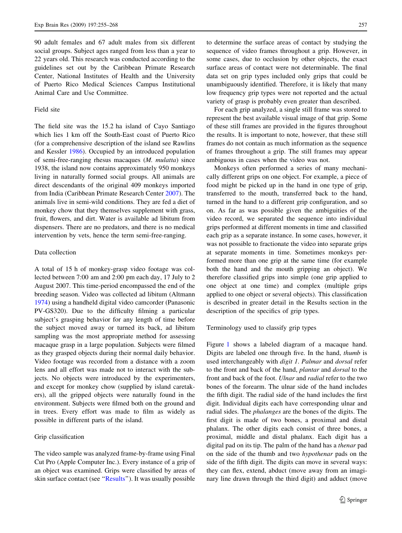90 adult females and 67 adult males from six different social groups. Subject ages ranged from less than a year to 22 years old. This research was conducted according to the guidelines set out by the Caribbean Primate Research Center, National Institutes of Health and the University of Puerto Rico Medical Sciences Campus Institutional Animal Care and Use Committee.

# Field site

The field site was the 15.2 ha island of Cayo Santiago which lies 1 km off the South-East coast of Puerto Rico (for a comprehensive description of the island see Rawlins and Kessler [1986](#page-13-0)). Occupied by an introduced population of semi-free-ranging rhesus macaques (M. mulatta) since 1938, the island now contains approximately 950 monkeys living in naturally formed social groups. All animals are direct descendants of the original 409 monkeys imported from India (Caribbean Primate Research Center [2007](#page-13-0)). The animals live in semi-wild conditions. They are fed a diet of monkey chow that they themselves supplement with grass, fruit, flowers, and dirt. Water is available ad libitum from dispensers. There are no predators, and there is no medical intervention by vets, hence the term semi-free-ranging.

#### Data collection

A total of 15 h of monkey-grasp video footage was collected between 7:00 am and 2:00 pm each day, 17 July to 2 August 2007. This time-period encompassed the end of the breeding season. Video was collected ad libitum (Altmann [1974\)](#page-13-0) using a handheld digital video camcorder (Panasonic PV-GS320). Due to the difficulty filming a particular subject's grasping behavior for any length of time before the subject moved away or turned its back, ad libitum sampling was the most appropriate method for assessing macaque grasp in a large population. Subjects were filmed as they grasped objects during their normal daily behavior. Video footage was recorded from a distance with a zoom lens and all effort was made not to interact with the subjects. No objects were introduced by the experimenters, and except for monkey chow (supplied by island caretakers), all the gripped objects were naturally found in the environment. Subjects were filmed both on the ground and in trees. Every effort was made to film as widely as possible in different parts of the island.

#### Grip classification

The video sample was analyzed frame-by-frame using Final Cut Pro (Apple Computer Inc.). Every instance of a grip of an object was examined. Grips were classified by areas of skin surface contact (see "Results"). It was usually possible to determine the surface areas of contact by studying the sequence of video frames throughout a grip. However, in some cases, due to occlusion by other objects, the exact surface areas of contact were not determinable. The final data set on grip types included only grips that could be unambiguously identified. Therefore, it is likely that many low frequency grip types were not reported and the actual variety of grasp is probably even greater than described.

For each grip analyzed, a single still frame was stored to represent the best available visual image of that grip. Some of these still frames are provided in the figures throughout the results. It is important to note, however, that these still frames do not contain as much information as the sequence of frames throughout a grip. The still frames may appear ambiguous in cases when the video was not.

Monkeys often performed a series of many mechanically different grips on one object. For example, a piece of food might be picked up in the hand in one type of grip, transferred to the mouth, transferred back to the hand, turned in the hand to a different grip configuration, and so on. As far as was possible given the ambiguities of the video record, we separated the sequence into individual grips performed at different moments in time and classified each grip as a separate instance. In some cases, however, it was not possible to fractionate the video into separate grips at separate moments in time. Sometimes monkeys performed more than one grip at the same time (for example both the hand and the mouth gripping an object). We therefore classified grips into simple (one grip applied to one object at one time) and complex (multiple grips applied to one object or several objects). This classification is described in greater detail in the Results section in the description of the specifics of grip types.

Terminology used to classify grip types

Figure [1](#page-3-0) shows a labeled diagram of a macaque hand. Digits are labeled one through five. In the hand, thumb is used interchangeably with digit 1. Palmar and dorsal refer to the front and back of the hand, plantar and dorsal to the front and back of the foot. Ulnar and radial refer to the two bones of the forearm. The ulnar side of the hand includes the fifth digit. The radial side of the hand includes the first digit. Individual digits each have corresponding ulnar and radial sides. The phalanges are the bones of the digits. The first digit is made of two bones, a proximal and distal phalanx. The other digits each consist of three bones, a proximal, middle and distal phalanx. Each digit has a digital pad on its tip. The palm of the hand has a thenar pad on the side of the thumb and two hypothenar pads on the side of the fifth digit. The digits can move in several ways: they can flex, extend, abduct (move away from an imaginary line drawn through the third digit) and adduct (move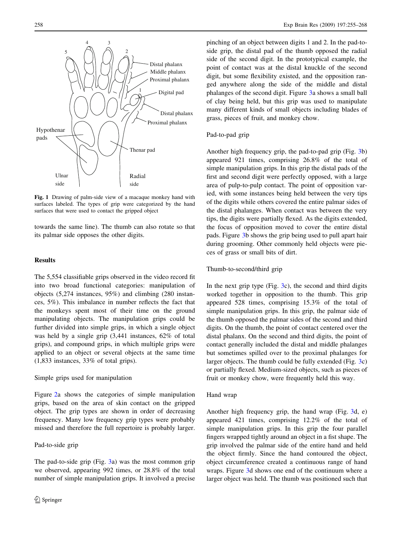<span id="page-3-0"></span>

Fig. 1 Drawing of palm-side view of a macaque monkey hand with surfaces labeled. The types of grip were categorized by the hand surfaces that were used to contact the gripped object

towards the same line). The thumb can also rotate so that its palmar side opposes the other digits.

## **Results**

The 5,554 classifiable grips observed in the video record fit into two broad functional categories: manipulation of objects (5,274 instances, 95%) and climbing (280 instances, 5%). This imbalance in number reflects the fact that the monkeys spent most of their time on the ground manipulating objects. The manipulation grips could be further divided into simple grips, in which a single object was held by a single grip (3,441 instances, 62% of total grips), and compound grips, in which multiple grips were applied to an object or several objects at the same time (1,833 instances, 33% of total grips).

#### Simple grips used for manipulation

Figure [2](#page-4-0)a shows the categories of simple manipulation grips, based on the area of skin contact on the gripped object. The grip types are shown in order of decreasing frequency. Many low frequency grip types were probably missed and therefore the full repertoire is probably larger.

# Pad-to-side grip

The pad-to-side grip (Fig. [3a](#page-5-0)) was the most common grip we observed, appearing 992 times, or 28.8% of the total number of simple manipulation grips. It involved a precise pinching of an object between digits 1 and 2. In the pad-toside grip, the distal pad of the thumb opposed the radial side of the second digit. In the prototypical example, the point of contact was at the distal knuckle of the second digit, but some flexibility existed, and the opposition ranged anywhere along the side of the middle and distal phalanges of the second digit. Figure [3](#page-5-0)a shows a small ball of clay being held, but this grip was used to manipulate many different kinds of small objects including blades of grass, pieces of fruit, and monkey chow.

# Pad-to-pad grip

Another high frequency grip, the pad-to-pad grip (Fig. [3b](#page-5-0)) appeared 921 times, comprising 26.8% of the total of simple manipulation grips. In this grip the distal pads of the first and second digit were perfectly opposed, with a large area of pulp-to-pulp contact. The point of opposition varied, with some instances being held between the very tips of the digits while others covered the entire palmar sides of the distal phalanges. When contact was between the very tips, the digits were partially flexed. As the digits extended, the focus of opposition moved to cover the entire distal pads. Figure [3b](#page-5-0) shows the grip being used to pull apart hair during grooming. Other commonly held objects were pieces of grass or small bits of dirt.

# Thumb-to-second/third grip

In the next grip type  $(Fig. 3c)$  $(Fig. 3c)$  $(Fig. 3c)$ , the second and third digits worked together in opposition to the thumb. This grip appeared 528 times, comprising 15.3% of the total of simple manipulation grips. In this grip, the palmar side of the thumb opposed the palmar sides of the second and third digits. On the thumb, the point of contact centered over the distal phalanx. On the second and third digits, the point of contact generally included the distal and middle phalanges but sometimes spilled over to the proximal phalanges for larger objects. The thumb could be fully extended (Fig. [3](#page-5-0)c) or partially flexed. Medium-sized objects, such as pieces of fruit or monkey chow, were frequently held this way.

#### Hand wrap

Another high frequency grip, the hand wrap (Fig. [3d](#page-5-0), e) appeared 421 times, comprising 12.2% of the total of simple manipulation grips. In this grip the four parallel fingers wrapped tightly around an object in a fist shape. The grip involved the palmar side of the entire hand and held the object firmly. Since the hand contoured the object, object circumference created a continuous range of hand wraps. Figure [3d](#page-5-0) shows one end of the continuum where a larger object was held. The thumb was positioned such that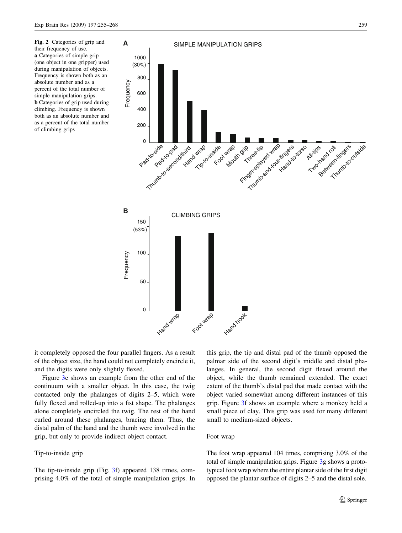<span id="page-4-0"></span>Fig. 2 Categories of grip and their frequency of use. a Categories of simple grip (one object in one gripper) used during manipulation of objects. Frequency is shown both as an absolute number and as a percent of the total number of simple manipulation grips. b Categories of grip used during climbing. Frequency is shown both as an absolute number and as a percent of the total number of climbing grips



it completely opposed the four parallel fingers. As a result of the object size, the hand could not completely encircle it, and the digits were only slightly flexed.

Figure [3e](#page-5-0) shows an example from the other end of the continuum with a smaller object. In this case, the twig contacted only the phalanges of digits 2–5, which were fully flexed and rolled-up into a fist shape. The phalanges alone completely encircled the twig. The rest of the hand curled around these phalanges, bracing them. Thus, the distal palm of the hand and the thumb were involved in the grip, but only to provide indirect object contact.

#### Tip-to-inside grip

The tip-to-inside grip (Fig. [3f](#page-5-0)) appeared 138 times, comprising 4.0% of the total of simple manipulation grips. In this grip, the tip and distal pad of the thumb opposed the palmar side of the second digit's middle and distal phalanges. In general, the second digit flexed around the object, while the thumb remained extended. The exact extent of the thumb's distal pad that made contact with the object varied somewhat among different instances of this grip. Figure [3f](#page-5-0) shows an example where a monkey held a small piece of clay. This grip was used for many different small to medium-sized objects.

#### Foot wrap

The foot wrap appeared 104 times, comprising 3.0% of the total of simple manipulation grips. Figure [3g](#page-5-0) shows a prototypical foot wrap where the entire plantar side of the first digit opposed the plantar surface of digits 2–5 and the distal sole.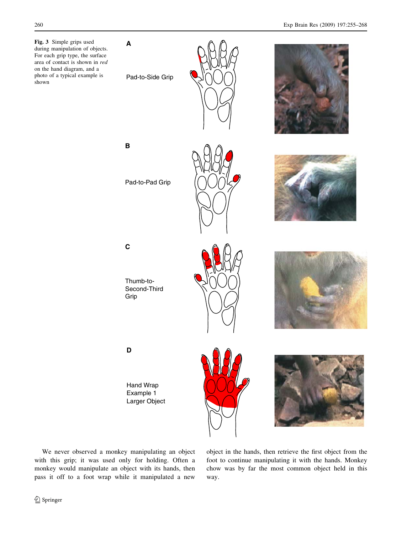<span id="page-5-0"></span>Fig. 3 Simple grips used during manipulation of objects. For each grip type, the surface area of contact is shown in red on the hand diagram, and a photo of a typical example is shown

**A**

Pad-to-Side Grip

Pad-to-Pad Grip





**B**





**C**

Thumb-to-Second-Third Grip





# **D**

Hand Wrap Example 1 Larger Object





We never observed a monkey manipulating an object with this grip; it was used only for holding. Often a monkey would manipulate an object with its hands, then pass it off to a foot wrap while it manipulated a new object in the hands, then retrieve the first object from the foot to continue manipulating it with the hands. Monkey chow was by far the most common object held in this way.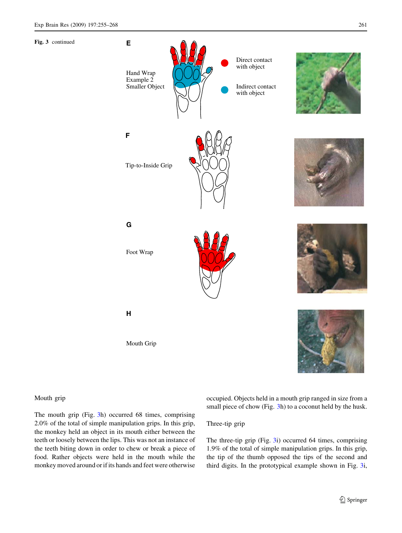Fig. 3 continued



#### Mouth grip

The mouth grip (Fig. [3h](#page-5-0)) occurred 68 times, comprising 2.0% of the total of simple manipulation grips. In this grip, the monkey held an object in its mouth either between the teeth or loosely between the lips. This was not an instance of the teeth biting down in order to chew or break a piece of food. Rather objects were held in the mouth while the monkey moved around or if its hands and feet were otherwise occupied. Objects held in a mouth grip ranged in size from a small piece of chow (Fig. [3](#page-5-0)h) to a coconut held by the husk.

# Three-tip grip

The three-tip grip (Fig. [3i](#page-5-0)) occurred 64 times, comprising 1.9% of the total of simple manipulation grips. In this grip, the tip of the thumb opposed the tips of the second and third digits. In the prototypical example shown in Fig. [3i](#page-5-0),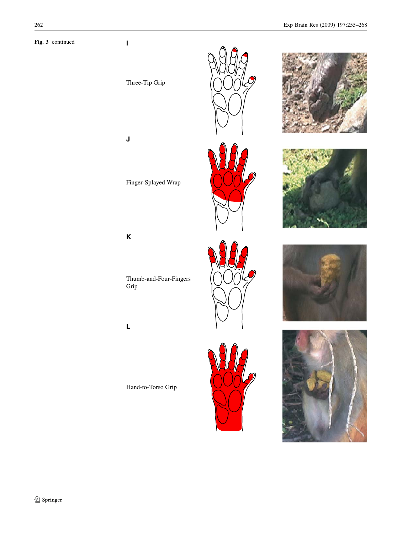**I**













**J**

Finger-Splayed Wrap



Thumb-and-Four-Fingers Grip





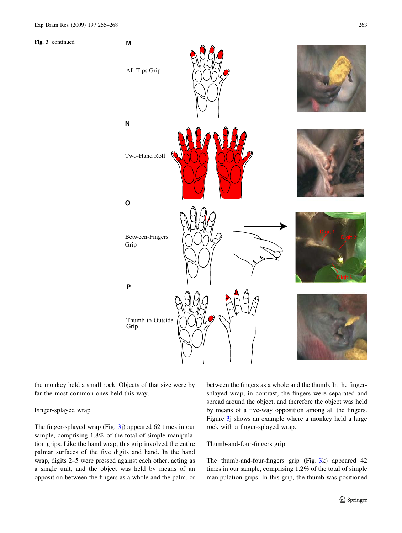Fig. 3 continued



the monkey held a small rock. Objects of that size were by far the most common ones held this way.

#### Finger-splayed wrap

The finger-splayed wrap (Fig. [3j](#page-5-0)) appeared 62 times in our sample, comprising 1.8% of the total of simple manipulation grips. Like the hand wrap, this grip involved the entire palmar surfaces of the five digits and hand. In the hand wrap, digits 2–5 were pressed against each other, acting as a single unit, and the object was held by means of an opposition between the fingers as a whole and the palm, or between the fingers as a whole and the thumb. In the fingersplayed wrap, in contrast, the fingers were separated and spread around the object, and therefore the object was held by means of a five-way opposition among all the fingers. Figure [3](#page-5-0)j shows an example where a monkey held a large rock with a finger-splayed wrap.

# Thumb-and-four-fingers grip

The thumb-and-four-fingers grip (Fig. [3](#page-5-0)k) appeared 42 times in our sample, comprising 1.2% of the total of simple manipulation grips. In this grip, the thumb was positioned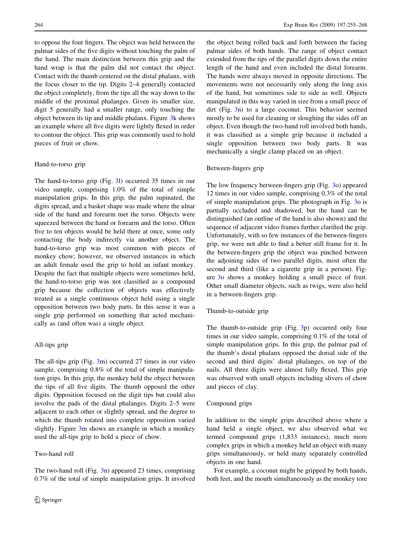to oppose the four fingers. The object was held between the palmar sides of the five digits without touching the palm of the hand. The main distinction between this grip and the hand wrap is that the palm did not contact the object. Contact with the thumb centered on the distal phalanx, with the focus closer to the tip. Digits 2–4 generally contacted the object completely, from the tips all the way down to the middle of the proximal phalanges. Given its smaller size, digit 5 generally had a smaller range, only touching the object between its tip and middle phalanx. Figure [3k](#page-5-0) shows an example where all five digits were lightly flexed in order to contour the object. This grip was commonly used to hold pieces of fruit or chow.

#### Hand-to-torso grip

The hand-to-torso grip (Fig. [3l](#page-5-0)) occurred 35 times in our video sample, comprising 1.0% of the total of simple manipulation grips. In this grip, the palm supinated, the digits spread, and a basket shape was made where the ulnar side of the hand and forearm met the torso. Objects were squeezed between the hand or forearm and the torso. Often five to ten objects would be held there at once, some only contacting the body indirectly via another object. The hand-to-torso grip was most common with pieces of monkey chow; however, we observed instances in which an adult female used the grip to hold an infant monkey. Despite the fact that multiple objects were sometimes held, the hand-to-torso grip was not classified as a compound grip because the collection of objects was effectively treated as a single continuous object held using a single opposition between two body parts. In this sense it was a single grip performed on something that acted mechanically as (and often was) a single object.

# All-tips grip

The all-tips grip (Fig. [3m](#page-5-0)) occurred 27 times in our video sample, comprising 0.8% of the total of simple manipulation grips. In this grip, the monkey held the object between the tips of all five digits. The thumb opposed the other digits. Opposition focused on the digit tips but could also involve the pads of the distal phalanges. Digits 2–5 were adjacent to each other or slightly spread, and the degree to which the thumb rotated into complete opposition varied slightly. Figure [3](#page-5-0)m shows an example in which a monkey used the all-tips grip to hold a piece of chow.

The two-hand roll (Fig. [3](#page-5-0)n) appeared 23 times, comprising 0.7% of the total of simple manipulation grips. It involved

# Two-hand roll

the object being rolled back and forth between the facing palmar sides of both hands. The range of object contact extended from the tips of the parallel digits down the entire length of the hand and even included the distal forearm. The hands were always moved in opposite directions. The movements were not necessarily only along the long axis of the hand, but sometimes side to side as well. Objects manipulated in this way varied in size from a small piece of dirt (Fig. [3](#page-5-0)n) to a large coconut. This behavior seemed mostly to be used for cleaning or sloughing the sides off an object. Even though the two-hand roll involved both hands, it was classified as a simple grip because it included a single opposition between two body parts. It was mechanically a single clamp placed on an object.

# Between-fingers grip

The low frequency between-fingers grip (Fig. [3](#page-5-0)o) appeared 12 times in our video sample, comprising 0.3% of the total of simple manipulation grips. The photograph in Fig. [3o](#page-5-0) is partially occluded and shadowed, but the hand can be distinguished (an outline of the hand is also shown) and the sequence of adjacent video frames further clarified the grip. Unfortunately, with so few instances of the between-fingers grip, we were not able to find a better still frame for it. In the between-fingers grip the object was pinched between the adjoining sides of two parallel digits, most often the second and third (like a cigarette grip in a person). Figure [3](#page-5-0)o shows a monkey holding a small piece of fruit. Other small diameter objects, such as twigs, were also held in a between-fingers grip.

#### Thumb-to-outside grip

The thumb-to-outside grip (Fig. [3](#page-5-0)p) occurred only four times in our video sample, comprising 0.1% of the total of simple manipulation grips. In this grip, the palmar pad of the thumb's distal phalanx opposed the dorsal side of the second and third digits' distal phalanges, on top of the nails. All three digits were almost fully flexed. This grip was observed with small objects including slivers of chow and pieces of clay.

# Compound grips

In addition to the simple grips described above where a hand held a single object, we also observed what we termed compound grips (1,833 instances), much more complex grips in which a monkey held an object with many grips simultaneously, or held many separately controlled objects in one hand.

For example, a coconut might be gripped by both hands, both feet, and the mouth simultaneously as the monkey tore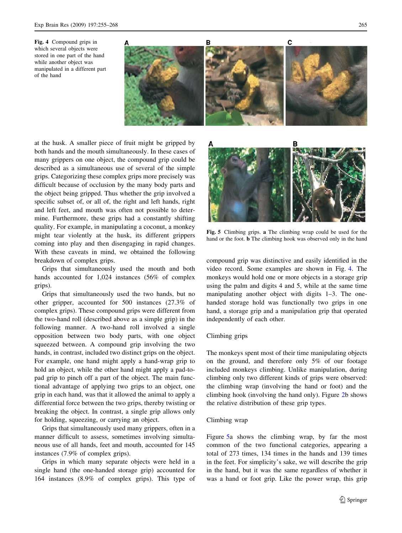

<span id="page-10-0"></span>Fig. 4 Compound grips in which several objects were stored in one part of the hand while another object was manipulated in a different part of the hand

at the husk. A smaller piece of fruit might be gripped by both hands and the mouth simultaneously. In these cases of many grippers on one object, the compound grip could be described as a simultaneous use of several of the simple grips. Categorizing these complex grips more precisely was difficult because of occlusion by the many body parts and the object being gripped. Thus whether the grip involved a specific subset of, or all of, the right and left hands, right and left feet, and mouth was often not possible to determine. Furthermore, these grips had a constantly shifting quality. For example, in manipulating a coconut, a monkey might tear violently at the husk, its different grippers coming into play and then disengaging in rapid changes. With these caveats in mind, we obtained the following breakdown of complex grips.

Grips that simultaneously used the mouth and both hands accounted for 1,024 instances (56% of complex grips).

Grips that simultaneously used the two hands, but no other gripper, accounted for 500 instances (27.3% of complex grips). These compound grips were different from the two-hand roll (described above as a simple grip) in the following manner. A two-hand roll involved a single opposition between two body parts, with one object squeezed between. A compound grip involving the two hands, in contrast, included two distinct grips on the object. For example, one hand might apply a hand-wrap grip to hold an object, while the other hand might apply a pad-topad grip to pinch off a part of the object. The main functional advantage of applying two grips to an object, one grip in each hand, was that it allowed the animal to apply a differential force between the two grips, thereby twisting or breaking the object. In contrast, a single grip allows only for holding, squeezing, or carrying an object.

Grips that simultaneously used many grippers, often in a manner difficult to assess, sometimes involving simultaneous use of all hands, feet and mouth, accounted for 145 instances (7.9% of complex grips).

Grips in which many separate objects were held in a single hand (the one-handed storage grip) accounted for 164 instances (8.9% of complex grips). This type of



Fig. 5 Climbing grips. a The climbing wrap could be used for the hand or the foot. b The climbing hook was observed only in the hand

compound grip was distinctive and easily identified in the video record. Some examples are shown in Fig. 4. The monkeys would hold one or more objects in a storage grip using the palm and digits 4 and 5, while at the same time manipulating another object with digits 1–3. The onehanded storage hold was functionally two grips in one hand, a storage grip and a manipulation grip that operated independently of each other.

# Climbing grips

The monkeys spent most of their time manipulating objects on the ground, and therefore only 5% of our footage included monkeys climbing. Unlike manipulation, during climbing only two different kinds of grips were observed: the climbing wrap (involving the hand or foot) and the climbing hook (involving the hand only). Figure [2](#page-4-0)b shows the relative distribution of these grip types.

#### Climbing wrap

Figure 5a shows the climbing wrap, by far the most common of the two functional categories, appearing a total of 273 times, 134 times in the hands and 139 times in the feet. For simplicity's sake, we will describe the grip in the hand, but it was the same regardless of whether it was a hand or foot grip. Like the power wrap, this grip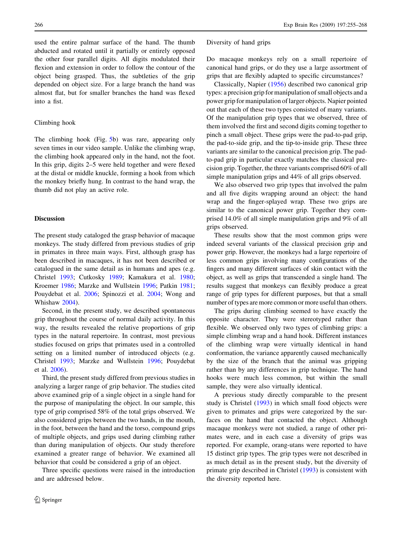used the entire palmar surface of the hand. The thumb abducted and rotated until it partially or entirely opposed the other four parallel digits. All digits modulated their flexion and extension in order to follow the contour of the object being grasped. Thus, the subtleties of the grip depended on object size. For a large branch the hand was almost flat, but for smaller branches the hand was flexed into a fist.

#### Climbing hook

The climbing hook (Fig. [5b](#page-10-0)) was rare, appearing only seven times in our video sample. Unlike the climbing wrap, the climbing hook appeared only in the hand, not the foot. In this grip, digits 2–5 were held together and were flexed at the distal or middle knuckle, forming a hook from which the monkey briefly hung. In contrast to the hand wrap, the thumb did not play an active role.

#### Discussion

The present study cataloged the grasp behavior of macaque monkeys. The study differed from previous studies of grip in primates in three main ways. First, although grasp has been described in macaques, it has not been described or catalogued in the same detail as in humans and apes (e.g. Christel [1993;](#page-13-0) Cutkosky [1989](#page-13-0); Kamakura et al. [1980](#page-13-0); Kroemer [1986](#page-13-0); Marzke and Wullstein [1996;](#page-13-0) Patkin [1981](#page-13-0); Pouydebat et al. [2006](#page-13-0); Spinozzi et al. [2004](#page-13-0); Wong and Whishaw [2004](#page-13-0)).

Second, in the present study, we described spontaneous grip throughout the course of normal daily activity. In this way, the results revealed the relative proportions of grip types in the natural repertoire. In contrast, most previous studies focused on grips that primates used in a controlled setting on a limited number of introduced objects (e.g. Christel [1993](#page-13-0); Marzke and Wullstein [1996](#page-13-0); Pouydebat et al. [2006\)](#page-13-0).

Third, the present study differed from previous studies in analyzing a larger range of grip behavior. The studies cited above examined grip of a single object in a single hand for the purpose of manipulating the object. In our sample, this type of grip comprised 58% of the total grips observed. We also considered grips between the two hands, in the mouth, in the foot, between the hand and the torso, compound grips of multiple objects, and grips used during climbing rather than during manipulation of objects. Our study therefore examined a greater range of behavior. We examined all behavior that could be considered a grip of an object.

Three specific questions were raised in the introduction and are addressed below.

#### Diversity of hand grips

Do macaque monkeys rely on a small repertoire of canonical hand grips, or do they use a large assortment of grips that are flexibly adapted to specific circumstances?

Classically, Napier ([1956\)](#page-13-0) described two canonical grip types: a precision grip for manipulation of small objects and a power grip for manipulation of larger objects. Napier pointed out that each of these two types consisted of many variants. Of the manipulation grip types that we observed, three of them involved the first and second digits coming together to pinch a small object. These grips were the pad-to-pad grip, the pad-to-side grip, and the tip-to-inside grip. These three variants are similar to the canonical precision grip. The padto-pad grip in particular exactly matches the classical precision grip. Together, the three variants comprised 60% of all simple manipulation grips and 44% of all grips observed.

We also observed two grip types that involved the palm and all five digits wrapping around an object: the hand wrap and the finger-splayed wrap. These two grips are similar to the canonical power grip. Together they comprised 14.0% of all simple manipulation grips and 9% of all grips observed.

These results show that the most common grips were indeed several variants of the classical precision grip and power grip. However, the monkeys had a large repertoire of less common grips involving many configurations of the fingers and many different surfaces of skin contact with the object, as well as grips that transcended a single hand. The results suggest that monkeys can flexibly produce a great range of grip types for different purposes, but that a small number of types are more common or more useful than others.

The grips during climbing seemed to have exactly the opposite character. They were stereotyped rather than flexible. We observed only two types of climbing grips: a simple climbing wrap and a hand hook. Different instances of the climbing wrap were virtually identical in hand conformation, the variance apparently caused mechanically by the size of the branch that the animal was gripping rather than by any differences in grip technique. The hand hooks were much less common, but within the small sample, they were also virtually identical.

A previous study directly comparable to the present study is Christel ([1993\)](#page-13-0) in which small food objects were given to primates and grips were categorized by the surfaces on the hand that contacted the object. Although macaque monkeys were not studied, a range of other primates were, and in each case a diversity of grips was reported. For example, orang-utans were reported to have 15 distinct grip types. The grip types were not described in as much detail as in the present study, but the diversity of primate grip described in Christel [\(1993](#page-13-0)) is consistent with the diversity reported here.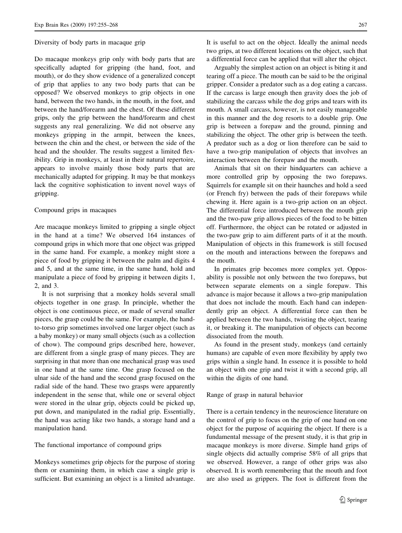#### Diversity of body parts in macaque grip

Do macaque monkeys grip only with body parts that are specifically adapted for gripping (the hand, foot, and mouth), or do they show evidence of a generalized concept of grip that applies to any two body parts that can be opposed? We observed monkeys to grip objects in one hand, between the two hands, in the mouth, in the foot, and between the hand/forearm and the chest. Of these different grips, only the grip between the hand/forearm and chest suggests any real generalizing. We did not observe any monkeys gripping in the armpit, between the knees, between the chin and the chest, or between the side of the head and the shoulder. The results suggest a limited flexibility. Grip in monkeys, at least in their natural repertoire, appears to involve mainly those body parts that are mechanically adapted for gripping. It may be that monkeys lack the cognitive sophistication to invent novel ways of gripping.

# Compound grips in macaques

Are macaque monkeys limited to gripping a single object in the hand at a time? We observed 164 instances of compound grips in which more that one object was gripped in the same hand. For example, a monkey might store a piece of food by gripping it between the palm and digits 4 and 5, and at the same time, in the same hand, hold and manipulate a piece of food by gripping it between digits 1, 2, and 3.

It is not surprising that a monkey holds several small objects together in one grasp. In principle, whether the object is one continuous piece, or made of several smaller pieces, the grasp could be the same. For example, the handto-torso grip sometimes involved one larger object (such as a baby monkey) or many small objects (such as a collection of chow). The compound grips described here, however, are different from a single grasp of many pieces. They are surprising in that more than one mechanical grasp was used in one hand at the same time. One grasp focused on the ulnar side of the hand and the second grasp focused on the radial side of the hand. These two grasps were apparently independent in the sense that, while one or several object were stored in the ulnar grip, objects could be picked up, put down, and manipulated in the radial grip. Essentially, the hand was acting like two hands, a storage hand and a manipulation hand.

# The functional importance of compound grips

Monkeys sometimes grip objects for the purpose of storing them or examining them, in which case a single grip is sufficient. But examining an object is a limited advantage.

It is useful to act on the object. Ideally the animal needs two grips, at two different locations on the object, such that a differential force can be applied that will alter the object.

Arguably the simplest action on an object is biting it and tearing off a piece. The mouth can be said to be the original gripper. Consider a predator such as a dog eating a carcass. If the carcass is large enough then gravity does the job of stabilizing the carcass while the dog grips and tears with its mouth. A small carcass, however, is not easily manageable in this manner and the dog resorts to a double grip. One grip is between a forepaw and the ground, pinning and stabilizing the object. The other grip is between the teeth. A predator such as a dog or lion therefore can be said to have a two-grip manipulation of objects that involves an interaction between the forepaw and the mouth.

Animals that sit on their hindquarters can achieve a more controlled grip by opposing the two forepaws. Squirrels for example sit on their haunches and hold a seed (or French fry) between the pads of their forepaws while chewing it. Here again is a two-grip action on an object. The differential force introduced between the mouth grip and the two-paw grip allows pieces of the food to be bitten off. Furthermore, the object can be rotated or adjusted in the two-paw grip to aim different parts of it at the mouth. Manipulation of objects in this framework is still focused on the mouth and interactions between the forepaws and the mouth.

In primates grip becomes more complex yet. Opposability is possible not only between the two forepaws, but between separate elements on a single forepaw. This advance is major because it allows a two-grip manipulation that does not include the mouth. Each hand can independently grip an object. A differential force can then be applied between the two hands, twisting the object, tearing it, or breaking it. The manipulation of objects can become dissociated from the mouth.

As found in the present study, monkeys (and certainly humans) are capable of even more flexibility by apply two grips within a single hand. In essence it is possible to hold an object with one grip and twist it with a second grip, all within the digits of one hand.

#### Range of grasp in natural behavior

There is a certain tendency in the neuroscience literature on the control of grip to focus on the grip of one hand on one object for the purpose of acquiring the object. If there is a fundamental message of the present study, it is that grip in macaque monkeys is more diverse. Simple hand grips of single objects did actually comprise 58% of all grips that we observed. However, a range of other grips was also observed. It is worth remembering that the mouth and foot are also used as grippers. The foot is different from the